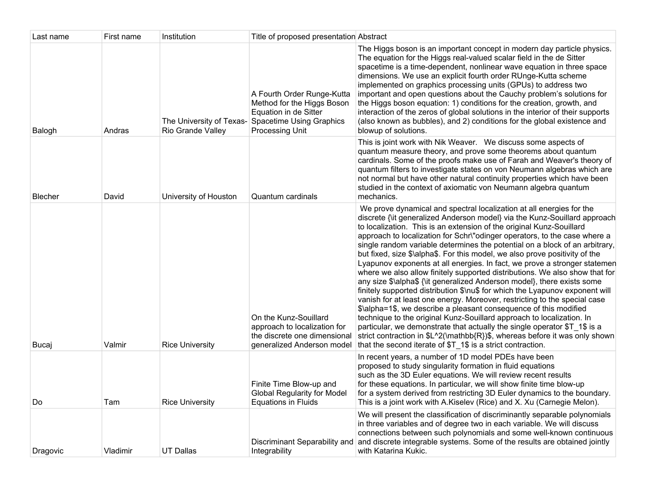| Last name | First name | Institution            | Title of proposed presentation Abstract                                                                                                                   |                                                                                                                                                                                                                                                                                                                                                                                                                                                                                                                                                                                                                                                                                                                                                                                                                                                                                                                                                                                                                                                                                                                                                                                                                                                   |
|-----------|------------|------------------------|-----------------------------------------------------------------------------------------------------------------------------------------------------------|---------------------------------------------------------------------------------------------------------------------------------------------------------------------------------------------------------------------------------------------------------------------------------------------------------------------------------------------------------------------------------------------------------------------------------------------------------------------------------------------------------------------------------------------------------------------------------------------------------------------------------------------------------------------------------------------------------------------------------------------------------------------------------------------------------------------------------------------------------------------------------------------------------------------------------------------------------------------------------------------------------------------------------------------------------------------------------------------------------------------------------------------------------------------------------------------------------------------------------------------------|
| Balogh    | Andras     | Rio Grande Valley      | A Fourth Order Runge-Kutta<br>Method for the Higgs Boson<br>Equation in de Sitter<br>The University of Texas- Spacetime Using Graphics<br>Processing Unit | The Higgs boson is an important concept in modern day particle physics.<br>The equation for the Higgs real-valued scalar field in the de Sitter<br>spacetime is a time-dependent, nonlinear wave equation in three space<br>dimensions. We use an explicit fourth order RUnge-Kutta scheme<br>implemented on graphics processing units (GPUs) to address two<br>important and open questions about the Cauchy problem's solutions for<br>the Higgs boson equation: 1) conditions for the creation, growth, and<br>interaction of the zeros of global solutions in the interior of their supports<br>(also known as bubbles), and 2) conditions for the global existence and<br>blowup of solutions.                                                                                                                                                                                                                                                                                                                                                                                                                                                                                                                                               |
| Blecher   | David      | University of Houston  | Quantum cardinals                                                                                                                                         | This is joint work with Nik Weaver. We discuss some aspects of<br>quantum measure theory, and prove some theorems about quantum<br>cardinals. Some of the proofs make use of Farah and Weaver's theory of<br>quantum filters to investigate states on von Neumann algebras which are<br>not normal but have other natural continuity properties which have been<br>studied in the context of axiomatic von Neumann algebra quantum<br>mechanics.                                                                                                                                                                                                                                                                                                                                                                                                                                                                                                                                                                                                                                                                                                                                                                                                  |
| Bucaj     | Valmir     | <b>Rice University</b> | On the Kunz-Souillard<br>approach to localization for<br>the discrete one dimensional<br>generalized Anderson model                                       | We prove dynamical and spectral localization at all energies for the<br>discrete {\it generalized Anderson model} via the Kunz-Souillard approach<br>to localization. This is an extension of the original Kunz-Souillard<br>approach to localization for Schr\"odinger operators, to the case where a<br>single random variable determines the potential on a block of an arbitrary,<br>but fixed, size \$\alpha\$. For this model, we also prove positivity of the<br>Lyapunov exponents at all energies. In fact, we prove a stronger statemen<br>where we also allow finitely supported distributions. We also show that for<br>any size \$\alpha\$ {\it generalized Anderson model}, there exists some<br>finitely supported distribution \$\nu\$ for which the Lyapunov exponent will<br>vanish for at least one energy. Moreover, restricting to the special case<br>\$\alpha=1\$, we describe a pleasant consequence of this modified<br>technique to the original Kunz-Souillard approach to localization. In<br>particular, we demonstrate that actually the single operator \$T_1\$ is a<br>strict contraction in \$L^2(\mathbb{R})\$, whereas before it was only shown<br>that the second iterate of \$T_1\$ is a strict contraction. |
| Do        | Tam        | <b>Rice University</b> | Finite Time Blow-up and<br><b>Global Regularity for Model</b><br><b>Equations in Fluids</b>                                                               | In recent years, a number of 1D model PDEs have been<br>proposed to study singularity formation in fluid equations<br>such as the 3D Euler equations. We will review recent results<br>for these equations. In particular, we will show finite time blow-up<br>for a system derived from restricting 3D Euler dynamics to the boundary.<br>This is a joint work with A.Kiselev (Rice) and X. Xu (Carnegie Melon).                                                                                                                                                                                                                                                                                                                                                                                                                                                                                                                                                                                                                                                                                                                                                                                                                                 |
| Dragovic  | Vladimir   | <b>UT Dallas</b>       | Discriminant Separability and<br>Integrability                                                                                                            | We will present the classification of discriminantly separable polynomials<br>in three variables and of degree two in each variable. We will discuss<br>connections between such polynomials and some well-known continuous<br>and discrete integrable systems. Some of the results are obtained jointly<br>with Katarina Kukic.                                                                                                                                                                                                                                                                                                                                                                                                                                                                                                                                                                                                                                                                                                                                                                                                                                                                                                                  |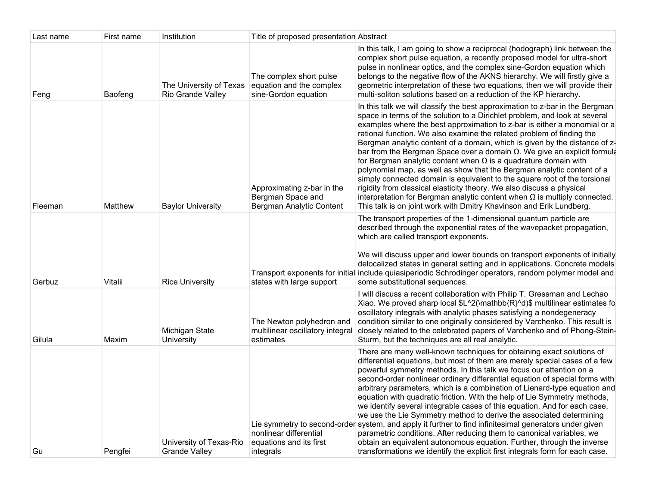| Last name | First name | Institution                                     | Title of proposed presentation Abstract                                     |                                                                                                                                                                                                                                                                                                                                                                                                                                                                                                                                                                                                                                                                                                                                                                                                                                                                                                                                                                     |
|-----------|------------|-------------------------------------------------|-----------------------------------------------------------------------------|---------------------------------------------------------------------------------------------------------------------------------------------------------------------------------------------------------------------------------------------------------------------------------------------------------------------------------------------------------------------------------------------------------------------------------------------------------------------------------------------------------------------------------------------------------------------------------------------------------------------------------------------------------------------------------------------------------------------------------------------------------------------------------------------------------------------------------------------------------------------------------------------------------------------------------------------------------------------|
| Feng      | Baofeng    | The University of Texas<br>Rio Grande Valley    | The complex short pulse<br>equation and the complex<br>sine-Gordon equation | In this talk, I am going to show a reciprocal (hodograph) link between the<br>complex short pulse equation, a recently proposed model for ultra-short<br>pulse in nonlinear optics, and the complex sine-Gordon equation which<br>belongs to the negative flow of the AKNS hierarchy. We will firstly give a<br>geometric interpretation of these two equations, then we will provide their<br>multi-soliton solutions based on a reduction of the KP hierarchy.                                                                                                                                                                                                                                                                                                                                                                                                                                                                                                    |
| Fleeman   | Matthew    | <b>Baylor University</b>                        | Approximating z-bar in the<br>Bergman Space and<br>Bergman Analytic Content | In this talk we will classify the best approximation to z-bar in the Bergman<br>space in terms of the solution to a Dirichlet problem, and look at several<br>examples where the best approximation to z-bar is either a monomial or a<br>rational function. We also examine the related problem of finding the<br>Bergman analytic content of a domain, which is given by the distance of z-<br>bar from the Bergman Space over a domain $\Omega$ . We give an explicit formula<br>for Bergman analytic content when $\Omega$ is a quadrature domain with<br>polynomial map, as well as show that the Bergman analytic content of a<br>simply connected domain is equivalent to the square root of the torsional<br>rigidity from classical elasticity theory. We also discuss a physical<br>interpretation for Bergman analytic content when $\Omega$ is multiply connected.<br>This talk is on joint work with Dmitry Khavinson and Erik Lundberg.               |
| Gerbuz    | Vitalii    | <b>Rice University</b>                          | states with large support                                                   | The transport properties of the 1-dimensional quantum particle are<br>described through the exponential rates of the wavepacket propagation,<br>which are called transport exponents.<br>We will discuss upper and lower bounds on transport exponents of initially<br>delocalized states in general setting and in applications. Concrete models<br>Transport exponents for initial include quiasiperiodic Schrodinger operators, random polymer model and<br>some substitutional sequences.                                                                                                                                                                                                                                                                                                                                                                                                                                                                       |
| Gilula    | Maxim      | Michigan State<br>University                    | The Newton polyhedron and<br>multilinear oscillatory integral<br>estimates  | I will discuss a recent collaboration with Philip T. Gressman and Lechao<br>Xiao. We proved sharp local \$L^2(\mathbb{R}^d)\$ multilinear estimates fo<br>oscillatory integrals with analytic phases satisfying a nondegeneracy<br>condition similar to one originally considered by Varchenko. This result is<br>closely related to the celebrated papers of Varchenko and of Phong-Stein-<br>Sturm, but the techniques are all real analytic.                                                                                                                                                                                                                                                                                                                                                                                                                                                                                                                     |
| Gu        | Pengfei    | University of Texas-Rio<br><b>Grande Valley</b> | nonlinear differential<br>equations and its first<br>integrals              | There are many well-known techniques for obtaining exact solutions of<br>differential equations, but most of them are merely special cases of a few<br>powerful symmetry methods. In this talk we focus our attention on a<br>second-order nonlinear ordinary differential equation of special forms with<br>arbitrary parameters, which is a combination of Lienard-type equation and<br>equation with quadratic friction. With the help of Lie Symmetry methods,<br>we identify several integrable cases of this equation. And for each case,<br>we use the Lie Symmetry method to derive the associated determining<br>Lie symmetry to second-order system, and apply it further to find infinitesimal generators under given<br>parametric conditions. After reducing them to canonical variables, we<br>obtain an equivalent autonomous equation. Further, through the inverse<br>transformations we identify the explicit first integrals form for each case. |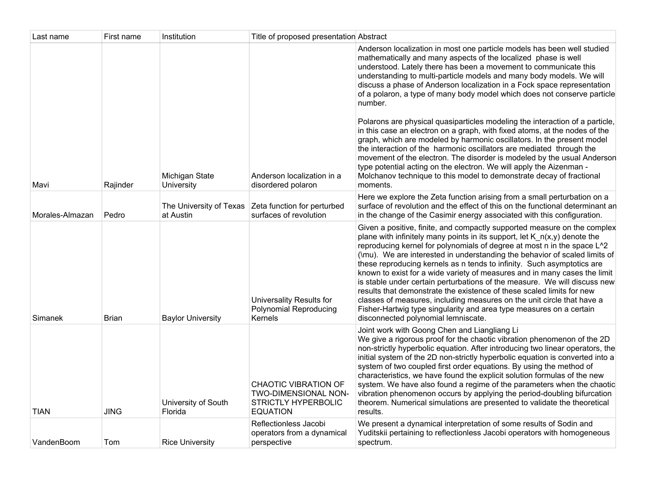| Last name       | First name  | Institution                    | Title of proposed presentation Abstract                                                              |                                                                                                                                                                                                                                                                                                                                                                                                                                                                                                                                                                                                                                                                                                                                                                                                                                                                                                                                                                                                               |
|-----------------|-------------|--------------------------------|------------------------------------------------------------------------------------------------------|---------------------------------------------------------------------------------------------------------------------------------------------------------------------------------------------------------------------------------------------------------------------------------------------------------------------------------------------------------------------------------------------------------------------------------------------------------------------------------------------------------------------------------------------------------------------------------------------------------------------------------------------------------------------------------------------------------------------------------------------------------------------------------------------------------------------------------------------------------------------------------------------------------------------------------------------------------------------------------------------------------------|
| Mavi            | Rajinder    | Michigan State<br>University   | Anderson localization in a<br>disordered polaron                                                     | Anderson localization in most one particle models has been well studied<br>mathematically and many aspects of the localized phase is well<br>understood. Lately there has been a movement to communicate this<br>understanding to multi-particle models and many body models. We will<br>discuss a phase of Anderson localization in a Fock space representation<br>of a polaron, a type of many body model which does not conserve particle<br>number.<br>Polarons are physical quasiparticles modeling the interaction of a particle,<br>in this case an electron on a graph, with fixed atoms, at the nodes of the<br>graph, which are modeled by harmonic oscillators. In the present model<br>the interaction of the harmonic oscillators are mediated through the<br>movement of the electron. The disorder is modeled by the usual Anderson<br>type potential acting on the electron. We will apply the Aizenman -<br>Molchanov technique to this model to demonstrate decay of fractional<br>moments. |
| Morales-Almazan | Pedro       | at Austin                      | The University of Texas   Zeta function for perturbed<br>surfaces of revolution                      | Here we explore the Zeta function arising from a small perturbation on a<br>surface of revolution and the effect of this on the functional determinant an<br>in the change of the Casimir energy associated with this configuration.                                                                                                                                                                                                                                                                                                                                                                                                                                                                                                                                                                                                                                                                                                                                                                          |
| Simanek         | Brian       | <b>Baylor University</b>       | Universality Results for<br><b>Polynomial Reproducing</b><br>Kernels                                 | Given a positive, finite, and compactly supported measure on the complex<br>plane with infinitely many points in its support, let $K_n(x,y)$ denote the<br>reproducing kernel for polynomials of degree at most n in the space L^2<br>(\mu). We are interested in understanding the behavior of scaled limits of<br>these reproducing kernels as n tends to infinity. Such asymptotics are<br>known to exist for a wide variety of measures and in many cases the limit<br>is stable under certain perturbations of the measure. We will discuss new<br>results that demonstrate the existence of these scaled limits for new<br>classes of measures, including measures on the unit circle that have a<br>Fisher-Hartwig type singularity and area type measures on a certain<br>disconnected polynomial lemniscate.                                                                                                                                                                                         |
| TIAN            | <b>JING</b> | University of South<br>Florida | <b>CHAOTIC VIBRATION OF</b><br>TWO-DIMENSIONAL NON-<br><b>STRICTLY HYPERBOLIC</b><br><b>EQUATION</b> | Joint work with Goong Chen and Liangliang Li<br>We give a rigorous proof for the chaotic vibration phenomenon of the 2D<br>non-strictly hyperbolic equation. After introducing two linear operators, the<br>initial system of the 2D non-strictly hyperbolic equation is converted into a<br>system of two coupled first order equations. By using the method of<br>characteristics, we have found the explicit solution formulas of the new<br>system. We have also found a regime of the parameters when the chaotic<br>vibration phenomenon occurs by applying the period-doubling bifurcation<br>theorem. Numerical simulations are presented to validate the theoretical<br>results.                                                                                                                                                                                                                                                                                                                     |
| VandenBoom      | Tom         | <b>Rice University</b>         | Reflectionless Jacobi<br>operators from a dynamical<br>perspective                                   | We present a dynamical interpretation of some results of Sodin and<br>Yuditskii pertaining to reflectionless Jacobi operators with homogeneous<br>spectrum.                                                                                                                                                                                                                                                                                                                                                                                                                                                                                                                                                                                                                                                                                                                                                                                                                                                   |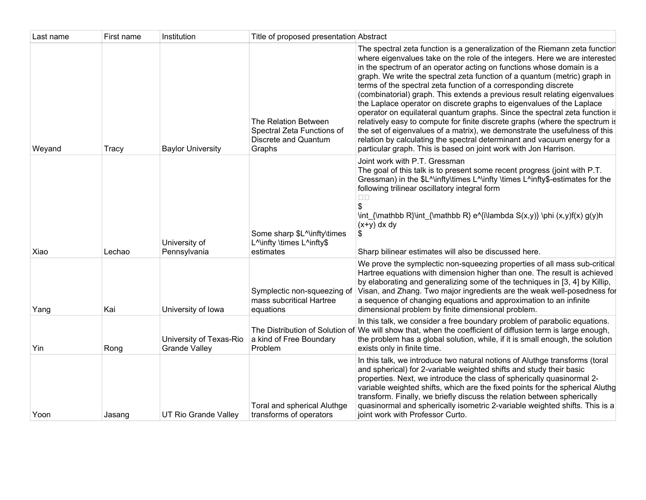| Last name | First name | Institution                                     | Title of proposed presentation Abstract                                                         |                                                                                                                                                                                                                                                                                                                                                                                                                                                                                                                                                                                                                                                                                                                                                                                                                                                                                                                                       |
|-----------|------------|-------------------------------------------------|-------------------------------------------------------------------------------------------------|---------------------------------------------------------------------------------------------------------------------------------------------------------------------------------------------------------------------------------------------------------------------------------------------------------------------------------------------------------------------------------------------------------------------------------------------------------------------------------------------------------------------------------------------------------------------------------------------------------------------------------------------------------------------------------------------------------------------------------------------------------------------------------------------------------------------------------------------------------------------------------------------------------------------------------------|
| Weyand    | Tracy      | <b>Baylor University</b>                        | The Relation Between<br>Spectral Zeta Functions of<br>Discrete and Quantum<br>Graphs            | The spectral zeta function is a generalization of the Riemann zeta function<br>where eigenvalues take on the role of the integers. Here we are interested<br>in the spectrum of an operator acting on functions whose domain is a<br>graph. We write the spectral zeta function of a quantum (metric) graph in<br>terms of the spectral zeta function of a corresponding discrete<br>(combinatorial) graph. This extends a previous result relating eigenvalues<br>the Laplace operator on discrete graphs to eigenvalues of the Laplace<br>operator on equilateral quantum graphs. Since the spectral zeta function is<br>relatively easy to compute for finite discrete graphs (where the spectrum is<br>the set of eigenvalues of a matrix), we demonstrate the usefulness of this<br>relation by calculating the spectral determinant and vacuum energy for a<br>particular graph. This is based on joint work with Jon Harrison. |
| Xiao      | Lechao     | University of<br>Pennsylvania                   | Some sharp \$L^\infty\times<br>L <sup>A</sup> linfty \times L <sup>A</sup> infty\$<br>estimates | Joint work with P.T. Gressman<br>The goal of this talk is to present some recent progress (joint with P.T.<br>Gressman) in the \$L^\infty\times L^\infty \times L^infty\$-estimates for the<br>following trilinear oscillatory integral form<br>$\Box$ $\Box$<br>\$<br>\int_{\mathbb R}\int_{\mathbb R} e^{i\lambda S(x,y)} \phi (x,y)f(x) g(y)h<br>$(x+y)$ dx dy<br>S<br>Sharp bilinear estimates will also be discussed here.                                                                                                                                                                                                                                                                                                                                                                                                                                                                                                       |
| Yang      | Kai        | University of Iowa                              | Symplectic non-squeezing of<br>mass subcritical Hartree<br>equations                            | We prove the symplectic non-squeezing properties of all mass sub-critical<br>Hartree equations with dimension higher than one. The result is achieved<br>by elaborating and generalizing some of the techniques in [3, 4] by Killip,<br>Visan, and Zhang. Two major ingredients are the weak well-posedness for<br>a sequence of changing equations and approximation to an infinite<br>dimensional problem by finite dimensional problem.                                                                                                                                                                                                                                                                                                                                                                                                                                                                                            |
| Yin       | Rong       | University of Texas-Rio<br><b>Grande Valley</b> | a kind of Free Boundary<br>Problem                                                              | In this talk, we consider a free boundary problem of parabolic equations.<br>The Distribution of Solution of We will show that, when the coefficient of diffusion term is large enough,<br>the problem has a global solution, while, if it is small enough, the solution<br>exists only in finite time.                                                                                                                                                                                                                                                                                                                                                                                                                                                                                                                                                                                                                               |
| Yoon      | Jasanq     | UT Rio Grande Valley                            | Toral and spherical Aluthge<br>transforms of operators                                          | In this talk, we introduce two natural notions of Aluthge transforms (toral<br>and spherical) for 2-variable weighted shifts and study their basic<br>properties. Next, we introduce the class of spherically quasinormal 2-<br>variable weighted shifts, which are the fixed points for the spherical Aluthg<br>transform. Finally, we briefly discuss the relation between spherically<br>quasinormal and spherically isometric 2-variable weighted shifts. This is a<br>joint work with Professor Curto.                                                                                                                                                                                                                                                                                                                                                                                                                           |